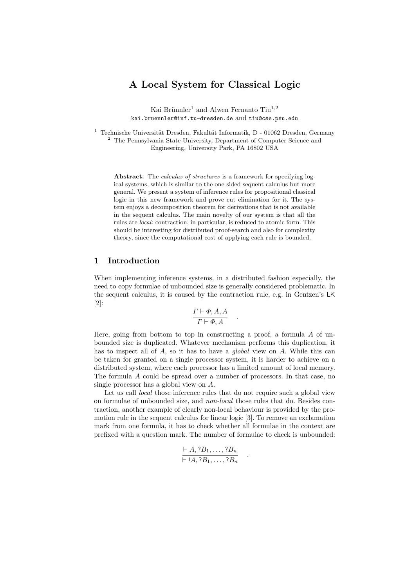# **A Local System for Classical Logic**

Kai Brünnler<sup>1</sup> and Alwen Fernanto Tiu<sup>1,2</sup> kai.bruennler@inf.tu-dresden.de and tiu@cse.psu.edu

<sup>1</sup> Technische Universität Dresden, Fakultät Informatik, D - 01062 Dresden, Germany <sup>2</sup> The Pennsylvania State University, Department of Computer Science and Engineering, University Park, PA 16802 USA

Abstract. The *calculus of structures* is a framework for specifying logical systems, which is similar to the one-sided sequent calculus but more general. We present a system of inference rules for propositional classical logic in this new framework and prove cut elimination for it. The system enjoys a decomposition theorem for derivations that is not available in the sequent calculus. The main novelty of our system is that all the rules are local: contraction, in particular, is reduced to atomic form. This should be interesting for distributed proof-search and also for complexity theory, since the computational cost of applying each rule is bounded.

# **1 Introduction**

When implementing inference systems, in a distributed fashion especially, the need to copy formulae of unbounded size is generally considered problematic. In the sequent calculus, it is caused by the contraction rule, e.g. in Gentzen's LK [2]:

$$
\frac{\Gamma \vdash \Phi, A, A}{\Gamma \vdash \Phi, A} \quad .
$$

Here, going from bottom to top in constructing a proof, a formula  $A$  of unbounded size is duplicated. Whatever mechanism performs this duplication, it has to inspect all of A, so it has to have a *global* view on A. While this can be taken for granted on a single processor system, it is harder to achieve on a distributed system, where each processor has a limited amount of local memory. The formula A could be spread over a number of processors. In that case, no single processor has a global view on A.

Let us call *local* those inference rules that do not require such a global view on formulae of unbounded size, and *non-local* those rules that do. Besides contraction, another example of clearly non-local behaviour is provided by the promotion rule in the sequent calculus for linear logic [3]. To remove an exclamation mark from one formula, it has to check whether all formulae in the context are prefixed with a question mark. The number of formulae to check is unbounded:

$$
\frac{\vdash A, ?B_1, \ldots, ?B_n}{\vdash \vdots A, ?B_1, \ldots, ?B_n} \quad .
$$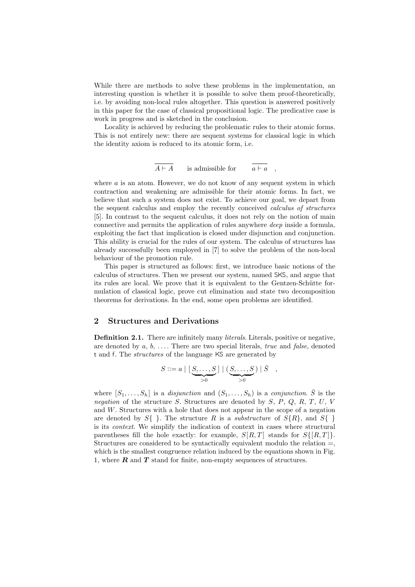While there are methods to solve these problems in the implementation, an interesting question is whether it is possible to solve them proof-theoretically, i.e. by avoiding non-local rules altogether. This question is answered positively in this paper for the case of classical propositional logic. The predicative case is work in progress and is sketched in the conclusion.

Locality is achieved by reducing the problematic rules to their atomic forms. This is not entirely new: there are sequent systems for classical logic in which the identity axiom is reduced to its atomic form, i.e.

$$
\overline{A \vdash A} \qquad \text{is admissible for} \qquad \overline{a \vdash a} \quad ,
$$

where  $a$  is an atom. However, we do not know of any sequent system in which contraction and weakening are admissible for their atomic forms. In fact, we believe that such a system does not exist. To achieve our goal, we depart from the sequent calculus and employ the recently conceived *calculus of structures* [5]. In contrast to the sequent calculus, it does not rely on the notion of main connective and permits the application of rules anywhere *deep* inside a formula, exploiting the fact that implication is closed under disjunction and conjunction. This ability is crucial for the rules of our system. The calculus of structures has already successfully been employed in [7] to solve the problem of the non-local behaviour of the promotion rule.

This paper is structured as follows: first, we introduce basic notions of the calculus of structures. Then we present our system, named SKS, and argue that its rules are local. We prove that it is equivalent to the Gentzen-Schütte formulation of classical logic, prove cut elimination and state two decomposition theorems for derivations. In the end, some open problems are identified.

### **2 Structures and Derivations**

**Definition 2.1.** There are infinitely many *literals*. Literals, positive or negative, are denoted by a, b, . . . . There are two special literals, *true* and *false*, denoted t and f. The *structures* of the language KS are generated by

$$
S ::= a \mid \left[\underbrace{S,\ldots,S}_{>0}\right] \mid \left(\underbrace{S,\ldots,S}_{>0}\right) \mid \overline{S} \quad ,
$$

where  $[S_1, \ldots, S_h]$  is a *disjunction* and  $(S_1, \ldots, S_h)$  is a *conjunction*.  $\overline{S}$  is the *negation* of the structure S. Structures are denoted by S, P, Q, R, T, U, V and W. Structures with a hole that does not appear in the scope of a negation are denoted by  $S\{\}\$ . The structure R is a *substructure* of  $S\{R\}$ , and  $S\{\}\$ is its *context*. We simplify the indication of context in cases where structural parentheses fill the hole exactly: for example,  $S[R,T]$  stands for  $S\{[R,T]\}$ . Structures are considered to be syntactically equivalent modulo the relation =, which is the smallest congruence relation induced by the equations shown in Fig. 1, where *R* and *T* stand for finite, non-empty sequences of structures.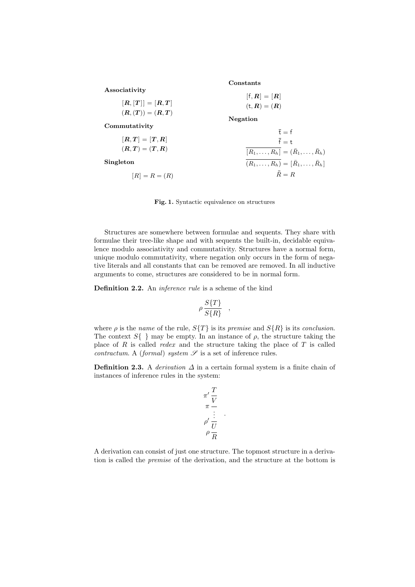|                     | Constants                                             |
|---------------------|-------------------------------------------------------|
| Associativity       | $[f,R]=[R]$                                           |
| $[R, [T]] = [R, T]$ | $(t, R) = (R)$                                        |
| $(R,(T)) = (R,T)$   |                                                       |
|                     | Negation                                              |
| Commutativity       | $\overline{t} = f$                                    |
| $[R,T] = [T,R]$     | $\overline{f}$ = t                                    |
| $(R,T)=(T,R)$       | $[R_1, \ldots, R_h] = (\bar{R}_1, \ldots, \bar{R}_h)$ |
| Singleton           | $(R_1,\ldots,R_h) = [\bar{R}_1,\ldots,\bar{R}_h]$     |
| $[R] = R = (R)$     | $\bar{\bar{R}}=R$                                     |

**Fig. 1.** Syntactic equivalence on structures

Structures are somewhere between formulae and sequents. They share with formulae their tree-like shape and with sequents the built-in, decidable equivalence modulo associativity and commutativity. Structures have a normal form, unique modulo commutativity, where negation only occurs in the form of negative literals and all constants that can be removed are removed. In all inductive arguments to come, structures are considered to be in normal form.

**Definition 2.2.** An *inference rule* is a scheme of the kind

$$
\rho \frac{S\{T\}}{S\{R\}} \quad ,
$$

where  $\rho$  is the *name* of the rule,  $S\{T\}$  is its *premise* and  $S\{R\}$  is its *conclusion*. The context  $S\{\}\$  may be empty. In an instance of  $\rho$ , the structure taking the place of R is called *redex* and the structure taking the place of T is called *contractum.* A *(formal) system*  $S$  is a set of inference rules.

**Definition 2.3.** A *derivation*  $\Delta$  in a certain formal system is a finite chain of instances of inference rules in the system:

$$
\pi' \frac{T}{V} \n\pi \frac{\vdots}{U} \n\rho' \frac{U}{R}
$$

.

A derivation can consist of just one structure. The topmost structure in a derivation is called the *premise* of the derivation, and the structure at the bottom is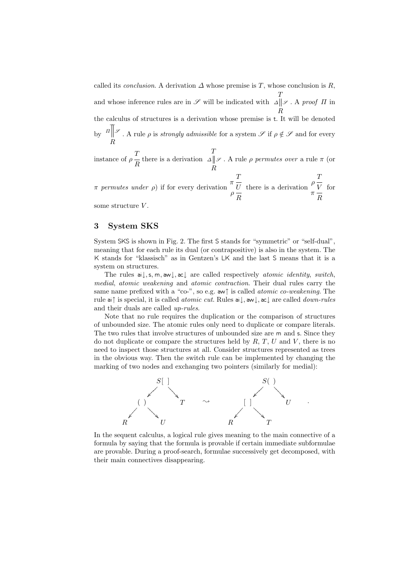called its *conclusion*. A derivation  $\Delta$  whose premise is T, whose conclusion is R, and whose inference rules are in  $\mathscr S$  will be indicated with T R  $\Delta \parallel \mathscr{S}$ . A *proof*  $\Pi$  in the calculus of structures is a derivation whose premise is t. It will be denoted by R  $\Pi$ <sup>*s*</sup>. A rule  $\rho$  is *strongly admissible* for a system  $\mathscr S$  if  $\rho \notin \mathscr S$  and for every T

instance of 
$$
\rho \frac{T}{R}
$$
 there is a derivation  $\Delta \parallel \mathcal{S}$ . A rule  $\rho$  permutes over a rule  $\pi$  (or  $R$ 

 $π$  *permutes under*  $ρ$ ) if for every derivation  $π$  $T$  $\rho \frac{U}{R}$  there is a derivation  $\rho \frac{T}{V}$   $\pi \frac{R}{R}$ for

some structure V.

# **3 System SKS**

System SKS is shown in Fig. 2. The first S stands for "symmetric" or "self-dual", meaning that for each rule its dual (or contrapositive) is also in the system. The K stands for "klassisch" as in Gentzen's LK and the last S means that it is a system on structures.

The rules ai↓,s, m, aw↓, ac↓ are called respectively *atomic identity*, *switch*, *medial*, *atomic weakening* and *atomic contraction*. Their dual rules carry the same name prefixed with a "co-", so e.g. aw↑ is called *atomic co-weakening*. The rule ai↑ is special, it is called *atomic cut*. Rules ai↓, aw↓, ac↓ are called *down-rules* and their duals are called *up-rules*.

Note that no rule requires the duplication or the comparison of structures of unbounded size. The atomic rules only need to duplicate or compare literals. The two rules that involve structures of unbounded size are m and s. Since they do not duplicate or compare the structures held by  $R, T, U$  and  $V$ , there is no need to inspect those structures at all. Consider structures represented as trees in the obvious way. Then the switch rule can be implemented by changing the marking of two nodes and exchanging two pointers (similarly for medial):



In the sequent calculus, a logical rule gives meaning to the main connective of a formula by saying that the formula is provable if certain immediate subformulae are provable. During a proof-search, formulae successively get decomposed, with their main connectives disappearing.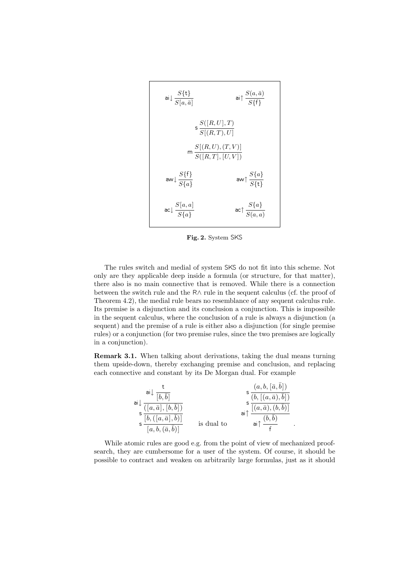$$
\begin{array}{ll}\n\text{ai}\downarrow \frac{S\{\mathbf{t}\}}{S[a,\bar{a}]} & \text{ai}\uparrow \frac{S(a,\bar{a})}{S\{\mathbf{f}\}} \\
\text{s}\frac{S([R,U],T)}{S[(R,T),U]} \\
\text{m}\frac{S[(R,U),(T,V)]}{S([R,T],[U,V])} \\
\text{aw}\downarrow \frac{S\{\mathbf{f}\}}{S\{a\}} & \text{aw}\uparrow \frac{S\{a\}}{S\{\mathbf{t}\}} \\
\text{ac}\downarrow \frac{S[a,a]}{S\{a\}} & \text{ac}\uparrow \frac{S\{a\}}{S(a,a)}\n\end{array}
$$

**Fig. 2.** System SKS

The rules switch and medial of system SKS do not fit into this scheme. Not only are they applicable deep inside a formula (or structure, for that matter), there also is no main connective that is removed. While there is a connection between the switch rule and the R∧ rule in the sequent calculus (cf. the proof of Theorem 4.2), the medial rule bears no resemblance of any sequent calculus rule. Its premise is a disjunction and its conclusion a conjunction. This is impossible in the sequent calculus, where the conclusion of a rule is always a disjunction (a sequent) and the premise of a rule is either also a disjunction (for single premise rules) or a conjunction (for two premise rules, since the two premises are logically in a conjunction).

**Remark 3.1.** When talking about derivations, taking the dual means turning them upside-down, thereby exchanging premise and conclusion, and replacing each connective and constant by its De Morgan dual. For example



While atomic rules are good e.g. from the point of view of mechanized proofsearch, they are cumbersome for a user of the system. Of course, it should be possible to contract and weaken on arbitrarily large formulas, just as it should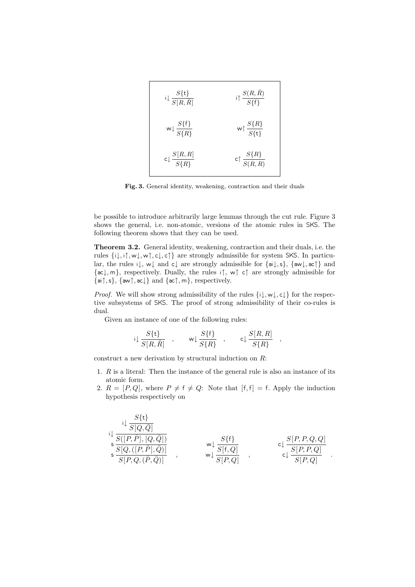

**Fig. 3.** General identity, weakening, contraction and their duals

be possible to introduce arbitrarily large lemmas through the cut rule. Figure 3 shows the general, i.e. non-atomic, versions of the atomic rules in SKS. The following theorem shows that they can be used.

**Theorem 3.2.** General identity, weakening, contraction and their duals, i.e. the rules {i↓, i↑, w↓, w↑, c↓, c↑} are strongly admissible for system SKS. In particular, the rules i↓, w↓ and c↓ are strongly admissible for {ai↓,s}, {aw↓, ac↑} and {ac↓, m}, respectively. Dually, the rules i↑, w↑ c↑ are strongly admissible for  $\{ai\uparrow, s\}, \{aw\uparrow, ac\downarrow\} \text{ and } \{ac\uparrow, m\}, \text{ respectively.}$ 

*Proof.* We will show strong admissibility of the rules  $\{i\downarrow, w\downarrow, c\downarrow\}$  for the respective subsystems of SKS. The proof of strong admissibility of their co-rules is dual.

Given an instance of one of the following rules:

$$
\mathsf{i}\!\downarrow \frac{S\{\mathsf{t}\}}{S[R,\bar{R}]}\quad,\qquad \mathsf{w}\!\downarrow \frac{S\{\mathsf{f}\}}{S\{R\}}\quad,\qquad \mathsf{c}\!\downarrow \frac{S[R,R]}{S\{R\}}\quad,
$$

construct a new derivation by structural induction on R:

- 1. R is a literal: Then the instance of the general rule is also an instance of its atomic form.
- 2.  $R = [P, Q]$ , where  $P \neq f \neq Q$ : Note that  $[f, f] = f$ . Apply the induction hypothesis respectively on

$$
\begin{array}{ccc}\n\downarrow & \frac{S\{\mathbf{t}\}}{S[Q,\bar{Q}]} \\
\downarrow & \frac{S([P,\bar{P}],[Q,\bar{Q}])}{S[Q,([P,\bar{P}],\bar{Q})]} \\
\downarrow & & \mathbf{w}\downarrow & \frac{S\{\mathbf{f}\}}{S[\mathbf{f},Q]} \\
\downarrow & & \frac{S[P,P,Q,Q]}{S[P,Q,\bar{P},Q]} \\
\downarrow & & \frac{S[P,P,Q,Q]}{S[P,Q]} \\
\end{array}
$$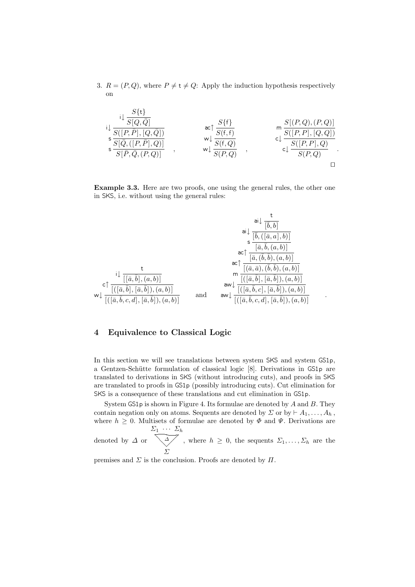3.  $R = (P, Q)$ , where  $P \neq t \neq Q$ : Apply the induction hypothesis respectively on

$$
\begin{array}{llll}\n\downarrow & \frac{S\{\mathbf{t}\}}{S[Q,\bar{Q}]} \\
\downarrow & \frac{S\{[\bar{P},\bar{Q},Q]\}}{S[\bar{Q},([P,\bar{P}],Q)]} \\
\downarrow & \frac{S\{[\bar{P},\bar{Q},(P,Q)]\}}{S[\bar{P},\bar{Q},(P,Q)]} \\
\downarrow & \frac{S\{\mathbf{t}\}}{S(\mathbf{t},Q)} \\
\downarrow & \frac{S\{\mathbf{t}\}}{S(\mathbf{t},Q)} \\
\downarrow & \frac{S\{\mathbf{t}\}}{S(\mathbf{t},Q)} \\
\downarrow & \frac{S\{[\bar{P},Q),(P,Q)]}{S(\mathbf{t},Q)} \\
\downarrow & \frac{S\{[\bar{P},P],[Q,Q]\}}{S(\mathbf{t},Q)} \\
\downarrow & \frac{S\{[\bar{P},Q),(P,Q]\}}{S(\mathbf{t},Q)} \\
\downarrow & \frac{S\{[\bar{P},Q),(P,Q]\}}{S(\mathbf{t},Q)} \\
\downarrow & \frac{S\{[\bar{P},Q),(P,Q]\}}{S(\mathbf{t},Q)} \\
\downarrow & \frac{S\{[\bar{P},Q),(P,Q]\}}{S(\mathbf{t},Q)} \\
\downarrow & \frac{S\{[\bar{P},Q),(P,Q]\}}{S(\mathbf{t},Q)} \\
\downarrow & \frac{S\{[\bar{P},Q),(P,Q]\}}{S(\mathbf{t},Q)} \\
\downarrow & \frac{S\{[\bar{P},Q),(P,Q]\}}{S(\mathbf{t},Q)} \\
\downarrow & \frac{S\{[\bar{P},Q),(P,Q]\}}{S(\mathbf{t},Q)} \\
\downarrow & \frac{S\{[\bar{P},Q),(P,Q]\}}{S(\mathbf{t},Q)} \\
\downarrow & \frac{S\{[\bar{P},Q),(P,Q]\}}{S(\mathbf{t},Q)} \\
\downarrow & \frac{S\{[\bar{P},Q),(P,Q]\}}{S(\mathbf{t},Q)} \\
\downarrow & \frac{S\{[\bar{P},Q),(P,Q]\}}{S(\mathbf{t},Q)} \\
\downarrow & \frac{S\{[\bar{P},Q),(P,Q]\}}{S(\mathbf{t},Q)} \\
\downarrow & \frac{S\{[\bar{P},Q),(P,Q]\}}{S(\mathbf{t},Q)} \\
\downarrow
$$

**Example 3.3.** Here are two proofs, one using the general rules, the other one in SKS, i.e. without using the general rules:



# **4 Equivalence to Classical Logic**

In this section we will see translations between system SKS and system GS1p, a Gentzen-Schütte formulation of classical logic [8]. Derivations in GS1p are translated to derivations in SKS (without introducing cuts), and proofs in SKS are translated to proofs in GS1p (possibly introducing cuts). Cut elimination for SKS is a consequence of these translations and cut elimination in GS1p.

System  $GSDp$  is shown in Figure 4. Its formulae are denoted by  $A$  and  $B$ . They contain negation only on atoms. Sequents are denoted by  $\Sigma$  or by  $\vdash A_1,\ldots,A_h$ , where  $h \geq 0$ . Multisets of formulae are denoted by  $\Phi$  and  $\Psi$ . Derivations are  $\Sigma_1 \cdots \Sigma_h$ 

denoted by  $\Delta$  or  $\frac{1}{\sqrt{2}}$ Σ , where  $h \geq 0$ , the sequents  $\Sigma_1, \ldots, \Sigma_h$  are the

premises and  $\Sigma$  is the conclusion. Proofs are denoted by  $\Pi$ .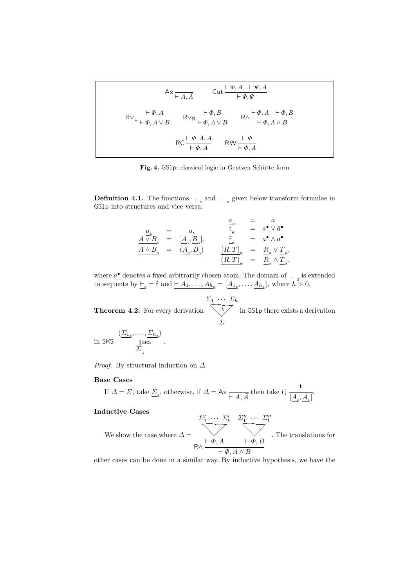$$
\mathsf{A} \times \frac{\mathsf{L} \times \mathsf{L} \mathsf{L} \mathsf{A} \mathsf{A}}{\mathsf{L} \mathsf{A} \mathsf{A} \mathsf{A}} \qquad \mathsf{Cut} \frac{\mathsf{L} \cdot \Phi, A \quad \mathsf{L} \Psi, \bar{A}}{\mathsf{L} \Phi, \Psi}
$$
\n
$$
\mathsf{R} \vee_{\mathsf{L}} \frac{\mathsf{L} \cdot \Phi, A}{\mathsf{L} \Phi, A \lor B} \qquad \mathsf{R} \vee_{\mathsf{R}} \frac{\mathsf{L} \cdot \Phi, B}{\mathsf{L} \Phi, A \lor B} \qquad \mathsf{R} \wedge \frac{\mathsf{L} \cdot \Phi, A \quad \mathsf{L} \Phi, B}{\mathsf{L} \Phi, A \land B}
$$
\n
$$
\mathsf{R} \mathsf{C} \frac{\mathsf{L} \cdot \Phi, A, A}{\mathsf{L} \Phi, A} \qquad \mathsf{R} \mathsf{W} \frac{\mathsf{L} \cdot \Phi}{\mathsf{L} \Phi, A}
$$

Fig. 4. GS1p: classical logic in Gentzen-Schütte form

**Definition 4.1.** The functions  $\frac{1}{\cdot \cdot \cdot}$  and  $\frac{1}{\cdot \cdot \cdot}$  given below transform formulae in  $GS1p$  into structures and vice versa:

$$
\begin{array}{rcl}\n\underline{a}_{\kappa} & = & a, & \underline{a}_{\kappa} & = & a \\
\underline{A \vee B}_{\varsigma} & = & [\underline{A}_{\varsigma}, \underline{B}_{\varsigma}], & \underline{f}_{\kappa} & = & a^{\bullet} \vee \bar{a}^{\bullet} \\
\underline{A \wedge B}_{\varsigma} & = & (\underline{A}_{\varsigma}, \underline{B}_{\varsigma}) & [\underline{R}, T]_{\kappa} & = & \underline{R}_{\kappa} \vee \underline{T}_{\kappa}, \\
\underline{(R, T)}_{\kappa} & = & \underline{R}_{\kappa} \wedge \underline{T}_{\kappa},\n\end{array}
$$

where  $a^{\bullet}$  denotes a fixed arbitrarily chosen atom. The domain of  $\frac{1}{s}$  is extended to sequents by  $\underline{\vdash}_{s} = f$  and  $\underline{\vdash} A_1, \ldots, A_{h_s} = [\underline{A_1_s}, \ldots, \underline{A_{h_s}}],$  where  $\overline{h} > 0$ .

**Theorem 4.2.** For every derivation  $\Sigma_1 \cdots \Sigma_h$  $\frac{\Delta}{\Sigma}$ Σ in GS1p there exists a derivation

in SKS 
$$
\frac{(\Sigma_{1_s}, \dots, \Sigma_{h_s})}{\|\text{SKs}\|}
$$
.

*Proof.* By structural induction on ∆.

### **Base Cases**

If 
$$
\Delta = \Sigma
$$
, take  $\underline{\Sigma}_{s}$ , otherwise, if  $\Delta = Ax \frac{}{\vdash A, \overline{A}}$  then take  $i \downarrow \frac{t}{[A_{s}, \overline{A}_{s}]}.$ 

## **Inductive Cases**

We show the case where  $\Delta =$  $\Sigma'_1 \cdots \Sigma'_k$  $-\sqrt{\frac{1}{\Phi(A)}}$  $\Sigma_1'' \cdots \Sigma_l''$  $\begin{array}{c}\n\searrow \\
\downarrow \phi \quad B\n\end{array}$  $R \wedge \frac{\vdash \Phi, A \qquad \vdash \Phi, B}{\vdash \Phi, A \wedge B}$ . The translations for

other cases can be done in a similar way. By inductive hypothesis, we have the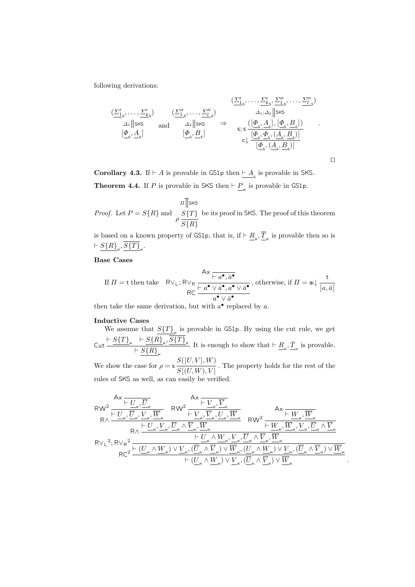following derivations:

$$
\begin{array}{ccc}\n(\underline{\Sigma'_{1_s}},\ldots,\underline{\Sigma'_{k_s}}) & (\underline{\Sigma'_{1_s}},\ldots,\underline{\Sigma'_{k_s}},\underline{\Sigma'_{1_s}},\ldots,\underline{\Sigma''_{l_s}}) \\
\Delta_1\|{\rm sks} & {\rm and} & \Delta_2\|{\rm sks} & \Rightarrow & \Delta_1,\Delta_2\|{\rm sks} \\
[\underline{\varPhi}_s,\underline{A}_s] & [\underline{\varPhi}_s,\underline{B}_s] & \zeta_2\| \underline{\varphi}_s, \underline{B}_s] \\
[\underline{\varPhi}_s,\underline{A}_s] & [\underline{\varPhi}_s,\underline{B}_s] & \zeta_2\| \underline{\varphi}_s, (\underline{A}_s,\underline{B}_s)] \\
\end{array}.
$$

 $\Box$ 

**Corollary 4.3.** If  $\vdash A$  is provable in GS1p then  $\underline{\vdash A_s}$  is provable in SKS. **Theorem 4.4.** If P is provable in SKS then  $\vdash \underline{P}_{\kappa}$  is provable in GS1p.

*Proof.* Let  $P = S\{R\}$  and  $S\{T\}$  $\rho \frac{S[T]}{S\{R\}}$  $\pi$ <sub>SKS</sub> be its proof in SKS. The proof of this theorem

is based on a known property of GS1p, that is, if  $\vdash \underline{R}_{\kappa}, \overline{\underline{T}}_{\kappa}$  is provable then so is  $\vdash \underline{S\{R\}}_{\ltimes}, \overline{S\{T\}}_{\ltimes}.$ 

# **Base Cases**

If 
$$
\Pi = \text{t}
$$
 then take  $R \vee_L; R \vee_R \frac{Ax \overline{h a^{\bullet}, \bar{a}^{\bullet}}}{R \overline{C}} \frac{A \times \overline{h a^{\bullet} \vee \bar{a}^{\bullet}}}{\overline{a^{\bullet} \vee \bar{a}^{\bullet}} \cdot \overline{a^{\bullet} \vee \bar{a}^{\bullet}}}, \text{ otherwise, if } \Pi = \text{ai} \downarrow \frac{\text{t}}{[a, \bar{a}]}$ 

then take the same derivation, but with  $a^{\bullet}$  replaced by a.

#### **Inductive Cases**

We assume that  $S(T)_{K}$  is provable in GS1p. By using the cut rule, we get  $\sub{\mathsf{Cut}} \frac{\vdash S\{T\}_\mathsf{K} \ \vdash S\{R\}_\mathsf{K}, \overline{S\{T\}}_\mathsf{K}}$  $\vdash S\{R\}_{\kappa}$ . It is enough to show that  $\vdash \underline{R}_{\kappa}, \underline{\bar{T}}_{\kappa}$  is provable. We show the case for  $\rho = s \frac{S([U, V], W)}{S[(U, W), V]}$ . The property holds for the rest of the rules of SKS as well, as can easily be verified.

$$
\begin{aligned} &\text{RW}^2 \frac{\mathsf{A} \times \overline{\underbrace{\vdash U_\kappa, \overline{U}_\kappa}_{\mathsf{R} \wedge} \underbrace{\overline{U_\kappa}, \overline{W}_\kappa}_{\mathsf{R} \wedge} \frac{\mathsf{A} \times \overline{\underbrace{\vdash V_\kappa, \overline{V}_\kappa}_{\mathsf{R}}}_{\mathsf{R} \wedge \underbrace{\overline{U_\kappa}, \overline{V}_\kappa}_{\mathsf{R} \wedge} \frac{\overline{V_\kappa}, \overline{W}_\kappa}_{\mathsf{R} \wedge \overline{U_\kappa}, \overline{W}_\kappa}_{\mathsf{R} \wedge \overline{U_\kappa}, \overline{W}_\kappa} \frac{\mathsf{A} \times \overline{\underbrace{\vdash W_\kappa, \overline{W}_\kappa}_{\mathsf{R} \wedge \overline{W}_\kappa}, \overline{W}_\kappa}{\mathsf{R} \wedge \underbrace{\vdash U_\kappa, \overline{V}_\kappa, \overline{U}_\kappa \wedge \overline{V}_\kappa, \overline{W}_\kappa}_{\mathsf{R} \wedge \overline{U_\kappa} \wedge \overline{W}_\kappa}, \overline{W}_\kappa, \overline{U_\kappa}, \overline{W}_\kappa, \overline{W}_\kappa}_{\mathsf{R} \wedge \overline{U_\kappa} \wedge \overline{W}_\kappa)^2} \frac{\mathsf{A} \times \overline{\underbrace{\vdash W_\kappa, \overline{W}_\kappa}_{\mathsf{R} \wedge \overline{W}_\kappa}, \overline{W}_\kappa}_{\mathsf{R} \wedge \overline{W}_\kappa}, \overline{W}_\kappa, \overline{W}_\kappa, \overline{W}_\kappa, \overline{W}_\kappa, \overline{W}_\kappa}_{\mathsf{R} \wedge \overline{W}_\kappa} \frac{\mathsf{A} \times \overline{\underbrace{\vdash W_\kappa, \overline{W}_\kappa}_{\mathsf{R} \wedge \overline{W}_\kappa}, \overline{W}_\kappa}{\mathsf{R} \wedge \underbrace{\vdash U_\kappa \wedge \underline{W}_\kappa \vee \vee \underline{W}_\kappa, \overline{U}_\kappa \wedge \overline{W}_\kappa)}_{\math
$$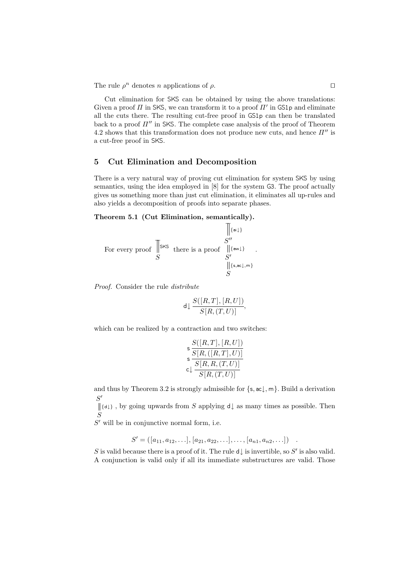The rule  $\rho^n$  denotes *n* applications of  $\rho$ .

Cut elimination for SKS can be obtained by using the above translations: Given a proof  $\Pi$  in SKS, we can transform it to a proof  $\Pi'$  in GS1p and eliminate all the cuts there. The resulting cut-free proof in GS1p can then be translated back to a proof  $\Pi''$  in SKS. The complete case analysis of the proof of Theorem 4.2 shows that this transformation does not produce new cuts, and hence  $\Pi''$  is a cut-free proof in SKS.

### **5 Cut Elimination and Decomposition**

There is a very natural way of proving cut elimination for system SKS by using semantics, using the idea employed in [8] for the system G3. The proof actually gives us something more than just cut elimination, it eliminates all up-rules and also yields a decomposition of proofs into separate phases.

.

### **Theorem 5.1 (Cut Elimination, semantically).**

For every proof 
$$
\begin{array}{c}\n\begin{array}{c}\n\end{array}\n\end{array}
$$
\n
$$
\begin{array}{c}\nS'' \\
\text{For every proof } S\n\end{array}
$$
\n
$$
\begin{array}{c}\nS'' \\
\begin{array}{c}\nS'' \\
\parallel \{\text{aw1}\} \\
S' \\
\parallel \{\text{s},\text{ac}\downarrow,\text{m}\}\n\end{array}
$$

*Proof.* Consider the rule *distribute*

$$
\mathsf{d} \downarrow \frac{S([R,T],[R,U])}{S[R,(T,U)]},
$$

which can be realized by a contraction and two switches:

$$
\mathsf{s}\frac{S([R,T],[R,U])}{\mathsf{s}\frac{S[R,([R,T],U)]}{S[R,R,(T,U)]}}
$$
  

$$
\mathsf{c}\downarrow \frac{S[R,R,(T,U)]}{S[R,(T,U)]}
$$

and thus by Theorem 3.2 is strongly admissible for  $\{s, ac\}$ ,  $m\}$ . Build a derivation  $S'$ 

S  ${d\downarrow}$ , by going upwards from S applying d $\downarrow$  as many times as possible. Then

 $S'$  will be in conjunctive normal form, i.e.

 $S' = ( [a_{11}, a_{12}, \ldots], [a_{21}, a_{22}, \ldots], \ldots, [a_{n1}, a_{n2}, \ldots] )$ .

S is valid because there is a proof of it. The rule  $d\downarrow$  is invertible, so S' is also valid. A conjunction is valid only if all its immediate substructures are valid. Those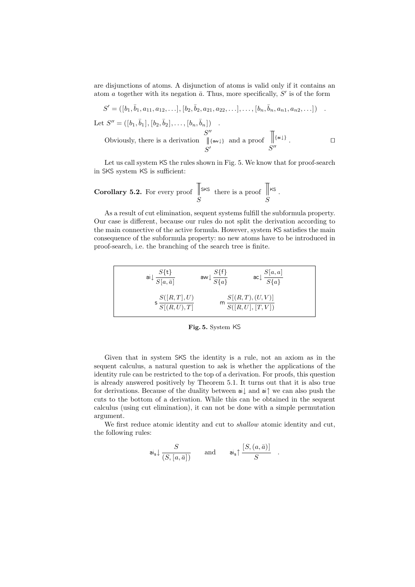are disjunctions of atoms. A disjunction of atoms is valid only if it contains an atom a together with its negation  $\bar{a}$ . Thus, more specifically, S' is of the form

$$
S' = ([b_1, \bar{b}_1, a_{11}, a_{12}, \ldots], [b_2, \bar{b}_2, a_{21}, a_{22}, \ldots], \ldots, [b_n, \bar{b}_n, a_{n1}, a_{n2}, \ldots])
$$
  
Let  $S'' = ([b_1, \bar{b}_1], [b_2, \bar{b}_2], \ldots, [b_n, \bar{b}_n])$   
Obviously, there is a derivation  $\parallel \{\text{sw1}\}$  and a proof  $\parallel \{\text{si1}\}$ .

Let us call system KS the rules shown in Fig. 5. We know that for proof-search in SKS system KS is sufficient:

**Corollary 5.2.** For every proof 
$$
\[ \]\[ S \]
$$

As a result of cut elimination, sequent systems fulfill the subformula property. Our case is different, because our rules do not split the derivation according to the main connective of the active formula. However, system KS satisfies the main consequence of the subformula property: no new atoms have to be introduced in proof-search, i.e. the branching of the search tree is finite.

$$
a \downarrow \frac{S\{\mathbf{t}\}}{S[a,\bar{a}]} \qquad a \text{and} \frac{S\{\mathbf{f}\}}{S\{a\}} \qquad a \text{and} \frac{S[a,a]}{S\{a\}}
$$

$$
s \frac{S([R,T],U)}{S[(R,U),T]} \qquad m \frac{S[(R,T),(U,V)]}{S([R,U],[T,V])}
$$

**Fig. 5.** System KS

Given that in system SKS the identity is a rule, not an axiom as in the sequent calculus, a natural question to ask is whether the applications of the identity rule can be restricted to the top of a derivation. For proofs, this question is already answered positively by Theorem 5.1. It turns out that it is also true for derivations. Because of the duality between ai↓ and ai↑ we can also push the cuts to the bottom of a derivation. While this can be obtained in the sequent calculus (using cut elimination), it can not be done with a simple permutation argument.

We first reduce atomic identity and cut to *shallow* atomic identity and cut, the following rules:

$$
\mathrm{ai}_{\mathsf{s}} {\downarrow} \frac{S}{(S,[a,\bar{a}])} \qquad \text{and} \qquad \mathrm{ai}_{\mathsf{s}} {\uparrow} \frac{[S,(a,\bar{a})]}{S} \quad .
$$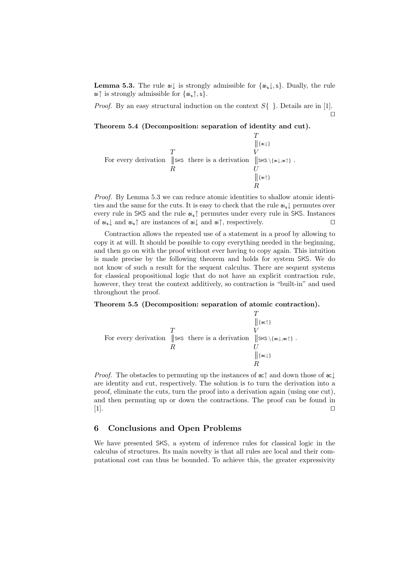**Lemma 5.3.** The rule ai↓ is strongly admissible for  $\{a_i\}$ , s}. Dually, the rule ai↑ is strongly admissible for  $\{a_i, \uparrow, s\}$ .

*Proof.* By an easy structural induction on the context  $S\{\}\.$  Details are in [1].  $\Box$ 

**Theorem 5.4 (Decomposition: separation of identity and cut).**

$$
\begin{array}{c}\nT \\
\parallel_{\{\mathsf{ai}\,\downarrow\}} \\
\text{For every derivation } \parallel_{\mathsf{SKS}} \text{ these is a derivation } \parallel_{\mathsf{SKS}\setminus\{\mathsf{ai}\,\downarrow,\mathsf{ai}\,\uparrow\}} \\
R\n\end{array}.
$$
\n
$$
\begin{array}{c}\nT \\
V \\
U \\
\parallel_{\{\mathsf{ai}\,\uparrow\}} \\
R\n\end{array}.
$$

*Proof.* By Lemma 5.3 we can reduce atomic identities to shallow atomic identities and the same for the cuts. It is easy to check that the rule ais↓ permutes over every rule in SKS and the rule ais↑ permutes under every rule in SKS. Instances of ais↓ and ais↑ are instances of ai↓ and ai↑, respectively.

Contraction allows the repeated use of a statement in a proof by allowing to copy it at will. It should be possible to copy everything needed in the beginning, and then go on with the proof without ever having to copy again. This intuition is made precise by the following theorem and holds for system SKS. We do not know of such a result for the sequent calculus. There are sequent systems for classical propositional logic that do not have an explicit contraction rule, however, they treat the context additively, so contraction is "built-in" and used throughout the proof.

#### **Theorem 5.5 (Decomposition: separation of atomic contraction).**

$$
\begin{array}{c}\nT \\
\parallel {\{\scriptstyle \infty\uparrow\}} \\
\text{For every derivation } \parallel \text{sks there is a derivation } \parallel \text{sks} \setminus {\{\scriptstyle \infty\downarrow,\scriptstyle \infty\uparrow\}} \\
R\n\end{array}.
$$
\n
$$
\begin{array}{c}\nT \\
V \\
\parallel {\{\scriptstyle \infty\uparrow\}} \\
U \\
\parallel {\{\scriptstyle \infty\downarrow\}} \\
R\n\end{array}.
$$

*Proof.* The obstacles to permuting up the instances of  $ac$ <sup> $\uparrow$ </sup> and down those of  $ac \downarrow$ are identity and cut, respectively. The solution is to turn the derivation into a proof, eliminate the cuts, turn the proof into a derivation again (using one cut), and then permuting up or down the contractions. The proof can be found in [1].

## **6 Conclusions and Open Problems**

We have presented SKS, a system of inference rules for classical logic in the calculus of structures. Its main novelty is that all rules are local and their computational cost can thus be bounded. To achieve this, the greater expressivity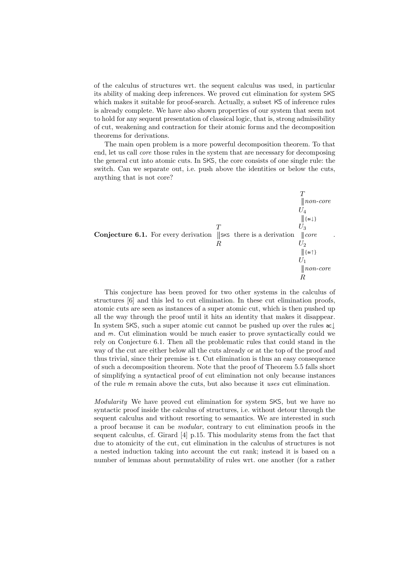of the calculus of structures wrt. the sequent calculus was used, in particular its ability of making deep inferences. We proved cut elimination for system SKS which makes it suitable for proof-search. Actually, a subset KS of inference rules is already complete. We have also shown properties of our system that seem not to hold for any sequent presentation of classical logic, that is, strong admissibility of cut, weakening and contraction for their atomic forms and the decomposition theorems for derivations.

The main open problem is a more powerful decomposition theorem. To that end, let us call *core* those rules in the system that are necessary for decomposing the general cut into atomic cuts. In SKS, the core consists of one single rule: the switch. Can we separate out, i.e. push above the identities or below the cuts, anything that is not core?



This conjecture has been proved for two other systems in the calculus of structures [6] and this led to cut elimination. In these cut elimination proofs, atomic cuts are seen as instances of a super atomic cut, which is then pushed up all the way through the proof until it hits an identity that makes it disappear. In system SKS, such a super atomic cut cannot be pushed up over the rules ac↓ and m. Cut elimination would be much easier to prove syntactically could we rely on Conjecture 6.1. Then all the problematic rules that could stand in the way of the cut are either below all the cuts already or at the top of the proof and thus trivial, since their premise is t. Cut elimination is thus an easy consequence of such a decomposition theorem. Note that the proof of Theorem 5.5 falls short of simplifying a syntactical proof of cut elimination not only because instances of the rule m remain above the cuts, but also because it *uses* cut elimination.

*Modularity* We have proved cut elimination for system SKS, but we have no syntactic proof inside the calculus of structures, i.e. without detour through the sequent calculus and without resorting to semantics. We are interested in such a proof because it can be *modular*, contrary to cut elimination proofs in the sequent calculus, cf. Girard [4] p.15. This modularity stems from the fact that due to atomicity of the cut, cut elimination in the calculus of structures is not a nested induction taking into account the cut rank; instead it is based on a number of lemmas about permutability of rules wrt. one another (for a rather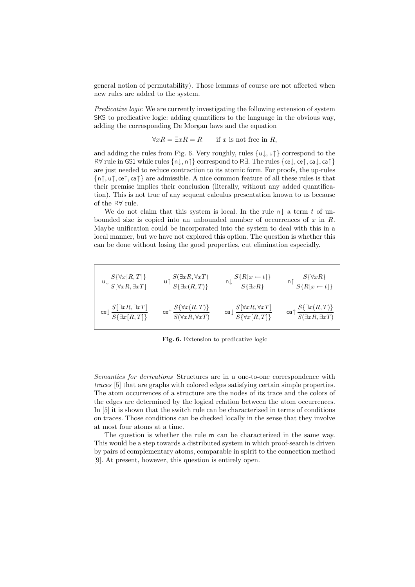general notion of permutability). Those lemmas of course are not affected when new rules are added to the system.

*Predicative logic* We are currently investigating the following extension of system SKS to predicative logic: adding quantifiers to the language in the obvious way, adding the corresponding De Morgan laws and the equation

$$
\forall x R = \exists x R = R \qquad \text{if } x \text{ is not free in } R,
$$

and adding the rules from Fig. 6. Very roughly, rules  $\{u\}, u\uparrow\}$  correspond to the R∀ rule in GS1 while rules {n↓, n↑} correspond to R∃. The rules {ce↓, ce↑, ca↓, ca↑} are just needed to reduce contraction to its atomic form. For proofs, the up-rules  $\{\n\eta, \nu\}, \text{ce}\n\}$  are admissible. A nice common feature of all these rules is that their premise implies their conclusion (literally, without any added quantification). This is not true of any sequent calculus presentation known to us because of the R∀ rule.

We do not claim that this system is local. In the rule n $\parallel$  a term t of unbounded size is copied into an unbounded number of occurrences of  $x$  in  $R$ . Maybe unification could be incorporated into the system to deal with this in a local manner, but we have not explored this option. The question is whether this can be done without losing the good properties, cut elimination especially.

$$
\begin{array}{ccc}\n\mathbf{u} \downarrow \frac{S\{\forall x[R,T]\}}{S[\forall xR,\exists xT]} & \mathbf{u} \uparrow \frac{S(\exists xR,\forall xT)}{S\{\exists x(R,T)\}} & \mathbf{n} \downarrow \frac{S\{R[x \leftarrow t]\}}{S\{\exists xR\}} & \mathbf{n} \uparrow \frac{S\{\forall xR\}}{S\{R[x \leftarrow t]\}} \\
\text{ce} \downarrow \frac{S[\exists xR,\exists xT]}{S\{\exists x[R,T]\}} & \text{ce} \uparrow \frac{S\{\forall x(R,T)\}}{S(\forall xR,\forall xT)} & \text{ca} \downarrow \frac{S[\forall xR,\forall xT]}{S\{\forall x[R,T]\}} & \text{ca} \uparrow \frac{S\{\exists x(R,T)\}}{S(\exists xR,\exists xT)}\n\end{array}
$$

**Fig. 6.** Extension to predicative logic

*Semantics for derivations* Structures are in a one-to-one correspondence with *traces* [5] that are graphs with colored edges satisfying certain simple properties. The atom occurrences of a structure are the nodes of its trace and the colors of the edges are determined by the logical relation between the atom occurrences. In [5] it is shown that the switch rule can be characterized in terms of conditions on traces. Those conditions can be checked locally in the sense that they involve at most four atoms at a time.

The question is whether the rule m can be characterized in the same way. This would be a step towards a distributed system in which proof-search is driven by pairs of complementary atoms, comparable in spirit to the connection method [9]. At present, however, this question is entirely open.